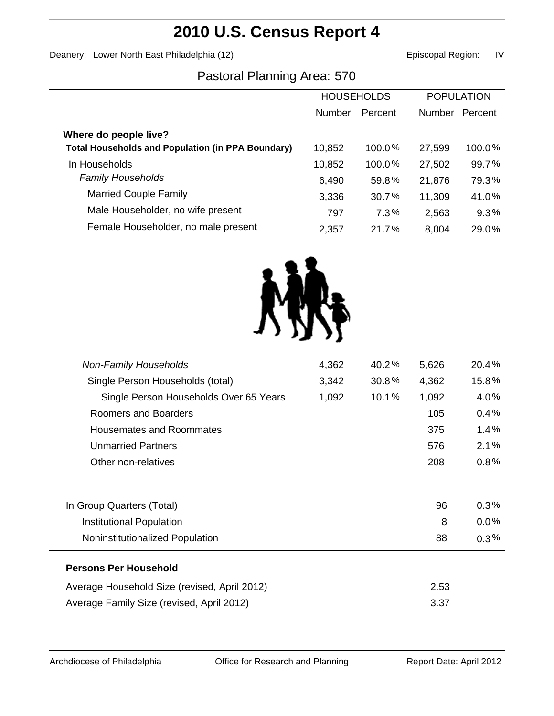# **2010 U.S. Census Report 4**

Deanery: Lower North East Philadelphia (12) Channel Books and Episcopal Region: IV

## Pastoral Planning Area: 570

|                                                          | <b>HOUSEHOLDS</b> |           | <b>POPULATION</b> |         |
|----------------------------------------------------------|-------------------|-----------|-------------------|---------|
|                                                          |                   |           |                   |         |
|                                                          | Number            | Percent   | <b>Number</b>     | Percent |
| Where do people live?                                    |                   |           |                   |         |
| <b>Total Households and Population (in PPA Boundary)</b> | 10,852            | 100.0%    | 27,599            | 100.0%  |
| In Households                                            | 10,852            | $100.0\%$ | 27,502            | 99.7%   |
| <b>Family Households</b>                                 | 6,490             | 59.8%     | 21,876            | 79.3%   |
| <b>Married Couple Family</b>                             | 3,336             | 30.7%     | 11,309            | 41.0%   |
| Male Householder, no wife present                        | 797               | 7.3%      | 2,563             | 9.3%    |
| Female Householder, no male present                      | 2,357             | 21.7%     | 8,004             | 29.0%   |



| 4,362 | 40.2% | 5,626 | 20.4%   |
|-------|-------|-------|---------|
| 3,342 | 30.8% | 4,362 | 15.8%   |
| 1,092 | 10.1% | 1,092 | 4.0%    |
|       |       | 105   | 0.4%    |
|       |       | 375   | 1.4%    |
|       |       | 576   | 2.1%    |
|       |       | 208   | 0.8%    |
|       |       |       |         |
|       |       | 96    | $0.3\%$ |
|       |       | 8     | $0.0\%$ |
|       |       | 88    | $0.3\%$ |
|       |       |       |         |
|       |       | 2.53  |         |
|       |       | 3.37  |         |
|       |       |       |         |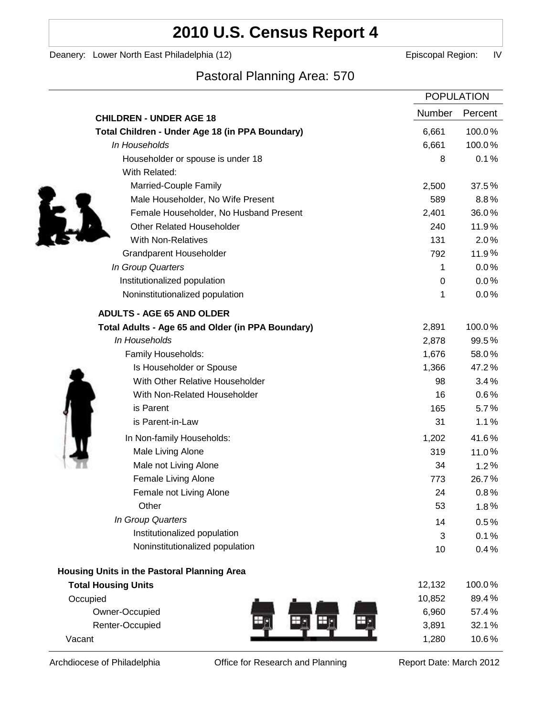# **2010 U.S. Census Report 4**

Deanery: Lower North East Philadelphia (12) Deanery: Lower North East Philadelphia (12)

## Pastoral Planning Area: 570

|                                                   | <b>POPULATION</b> |         |
|---------------------------------------------------|-------------------|---------|
| <b>CHILDREN - UNDER AGE 18</b>                    | Number            | Percent |
| Total Children - Under Age 18 (in PPA Boundary)   | 6,661             | 100.0%  |
| In Households                                     | 6,661             | 100.0%  |
| Householder or spouse is under 18                 | 8                 | 0.1%    |
| With Related:                                     |                   |         |
| Married-Couple Family                             | 2,500             | 37.5%   |
| Male Householder, No Wife Present                 | 589               | 8.8%    |
| Female Householder, No Husband Present            | 2,401             | 36.0%   |
| <b>Other Related Householder</b>                  | 240               | 11.9%   |
| <b>With Non-Relatives</b>                         | 131               | 2.0%    |
| <b>Grandparent Householder</b>                    | 792               | 11.9%   |
| In Group Quarters                                 | 1                 | 0.0%    |
| Institutionalized population                      | 0                 | 0.0%    |
| Noninstitutionalized population                   | 1                 | 0.0%    |
| <b>ADULTS - AGE 65 AND OLDER</b>                  |                   |         |
| Total Adults - Age 65 and Older (in PPA Boundary) | 2,891             | 100.0%  |
| In Households                                     | 2,878             | 99.5%   |
| Family Households:                                | 1,676             | 58.0%   |
| Is Householder or Spouse                          | 1,366             | 47.2%   |
| With Other Relative Householder                   | 98                | 3.4%    |
| With Non-Related Householder                      | 16                | 0.6%    |
| is Parent                                         | 165               | 5.7%    |
| is Parent-in-Law                                  | 31                | 1.1%    |
| In Non-family Households:                         | 1,202             | 41.6%   |
| Male Living Alone                                 | 319               | 11.0%   |
| Male not Living Alone                             | 34                | 1.2%    |
| Female Living Alone                               | 773               | 26.7%   |
| Female not Living Alone                           | 24                | 0.8%    |
| Other                                             | 53                | 1.8%    |
| In Group Quarters                                 | 14                | 0.5%    |
| Institutionalized population                      | 3                 | 0.1%    |
| Noninstitutionalized population                   | 10                | 0.4%    |
| Housing Units in the Pastoral Planning Area       |                   |         |
| <b>Total Housing Units</b>                        | 12,132            | 100.0%  |
| Occupied                                          | 10,852            | 89.4%   |
| Owner-Occupied                                    | 6,960             | 57.4%   |
| Renter-Occupied                                   | 3,891             | 32.1%   |
| Vacant                                            | 1,280             | 10.6%   |

Archdiocese of Philadelphia **Office for Research and Planning** Report Date: March 2012